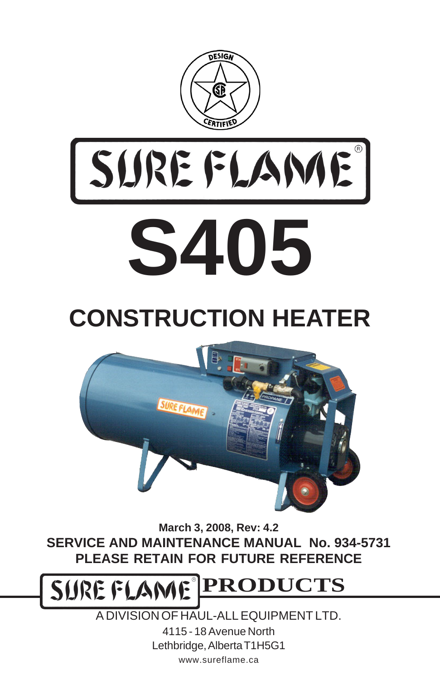



## **CONSTRUCTION HEATER**



**March 3, 2008, Rev: 4.2 SERVICE AND MAINTENANCE MANUAL No. 934-5731 PLEASE RETAIN FOR FUTURE REFERENCE**

**PRODUCTS** SURE FLAME®

> A DIVISION OF HAUL-ALL EQUIPMENT LTD. 4115 - 18 Avenue North Lethbridge, Alberta T1H5G1 www.sureflame.ca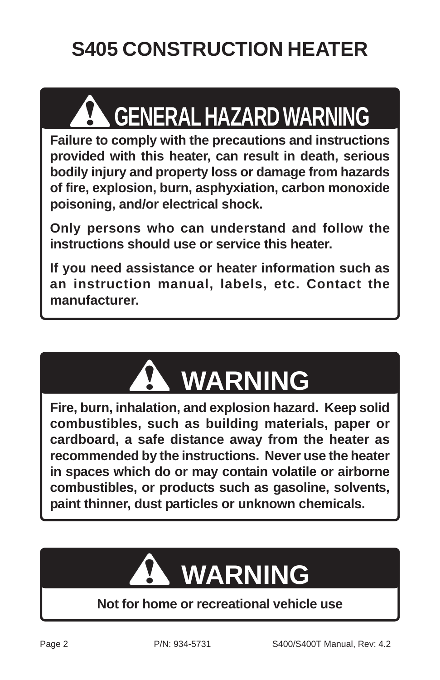### **S405 CONSTRUCTION HEATER**

# **GENERAL HAZARD WARNING**

**Failure to comply with the precautions and instructions provided with this heater, can result in death, serious bodily injury and property loss or damage from hazards of fire, explosion, burn, asphyxiation, carbon monoxide poisoning, and/or electrical shock.**

**Only persons who can understand and follow the instructions should use or service this heater.**

**If you need assistance or heater information such as an instruction manual, labels, etc. Contact the manufacturer.**



**Fire, burn, inhalation, and explosion hazard. Keep solid combustibles, such as building materials, paper or cardboard, a safe distance away from the heater as recommended by the instructions. Never use the heater in spaces which do or may contain volatile or airborne combustibles, or products such as gasoline, solvents, paint thinner, dust particles or unknown chemicals.**

## **WARNING**

#### **Not for home or recreational vehicle use**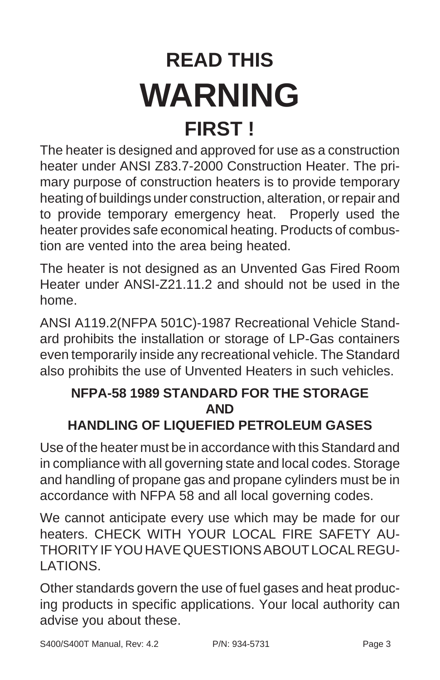## **READ THIS WARNING FIRST !**

The heater is designed and approved for use as a construction heater under ANSI Z83.7-2000 Construction Heater. The primary purpose of construction heaters is to provide temporary heating of buildings under construction, alteration, or repair and to provide temporary emergency heat. Properly used the heater provides safe economical heating. Products of combustion are vented into the area being heated.

The heater is not designed as an Unvented Gas Fired Room Heater under ANSI-Z21.11.2 and should not be used in the home.

ANSI A119.2(NFPA 501C)-1987 Recreational Vehicle Standard prohibits the installation or storage of LP-Gas containers even temporarily inside any recreational vehicle. The Standard also prohibits the use of Unvented Heaters in such vehicles.

#### **NFPA-58 1989 STANDARD FOR THE STORAGE AND HANDLING OF LIQUEFIED PETROLEUM GASES**

Use of the heater must be in accordance with this Standard and in compliance with all governing state and local codes. Storage and handling of propane gas and propane cylinders must be in accordance with NFPA 58 and all local governing codes.

We cannot anticipate every use which may be made for our heaters. CHECK WITH YOUR LOCAL FIRE SAFETY AU-THORITY IF YOU HAVE QUESTIONS ABOUT LOCAL REGU-LATIONS.

Other standards govern the use of fuel gases and heat producing products in specific applications. Your local authority can advise you about these.

S400/S400T Manual, Rev: 4.2 P/N: 934-5731 Page 3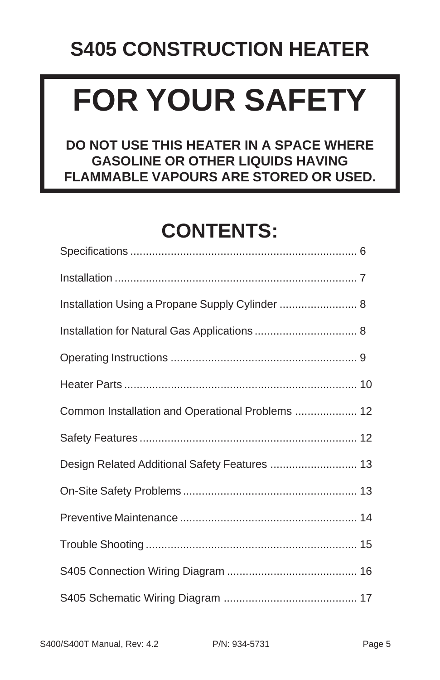#### **S405 CONSTRUCTION HEATER**

# **FOR YOUR SAFETY**

**DO NOT USE THIS HEATER IN A SPACE WHERE GASOLINE OR OTHER LIQUIDS HAVING FLAMMABLE VAPOURS ARE STORED OR USED.**

#### **CONTENTS:**

| Installation Using a Propane Supply Cylinder  8  |  |
|--------------------------------------------------|--|
|                                                  |  |
|                                                  |  |
|                                                  |  |
| Common Installation and Operational Problems  12 |  |
|                                                  |  |
| Design Related Additional Safety Features  13    |  |
|                                                  |  |
|                                                  |  |
|                                                  |  |
|                                                  |  |
|                                                  |  |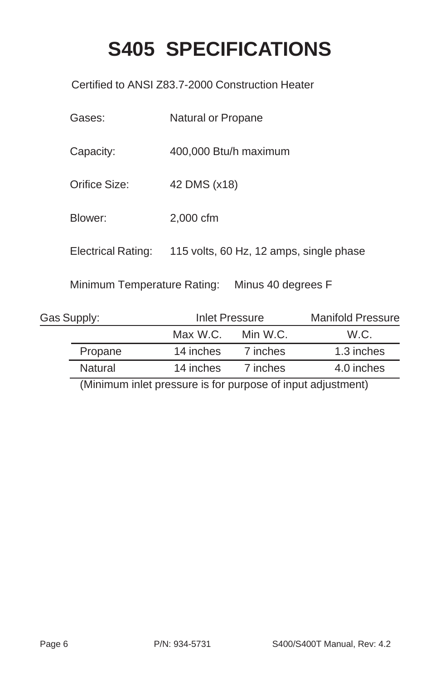#### **S405 SPECIFICATIONS**

Certified to ANSI Z83.7-2000 Construction Heater

| Gases:                      | Natural or Propane                      |
|-----------------------------|-----------------------------------------|
| Capacity:                   | 400,000 Btu/h maximum                   |
| Orifice Size:               | 42 DMS (x18)                            |
| Blower:                     | 2,000 cfm                               |
| Electrical Rating:          | 115 volts, 60 Hz, 12 amps, single phase |
| Minimum Temperature Rating: | Minus 40 degrees F                      |

| Gas Supply: | Inlet Pressure |          | <b>Manifold Pressure</b> |
|-------------|----------------|----------|--------------------------|
|             | Max W.C.       | Min W.C. | W.C.                     |
| Propane     | 14 inches      | 7 inches | 1.3 inches               |
| Natural     | 14 inches      | 7 inches | 4.0 inches               |

(Minimum inlet pressure is for purpose of input adjustment)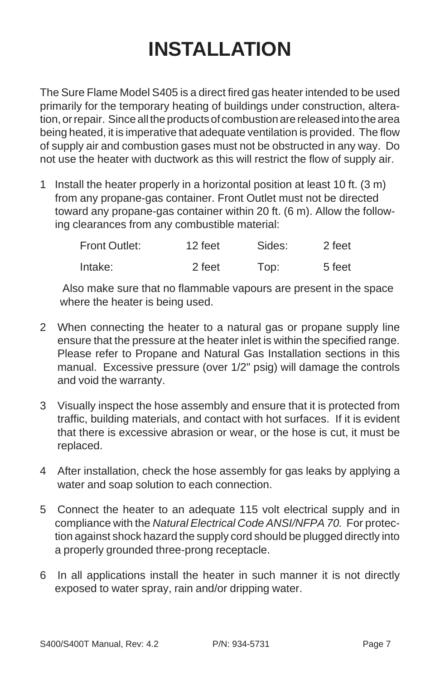#### **INSTALLATION**

The Sure Flame Model S405 is a direct fired gas heater intended to be used primarily for the temporary heating of buildings under construction, alteration, or repair. Since all the products of combustion are released into the area being heated, it is imperative that adequate ventilation is provided. The flow of supply air and combustion gases must not be obstructed in any way. Do not use the heater with ductwork as this will restrict the flow of supply air.

1 Install the heater properly in a horizontal position at least 10 ft. (3 m) from any propane-gas container. Front Outlet must not be directed toward any propane-gas container within 20 ft. (6 m). Allow the following clearances from any combustible material:

| Front Outlet: | 12 feet | Sides: | 2 feet |
|---------------|---------|--------|--------|
| Intake:       | 2 feet  | Top:   | 5 feet |

Also make sure that no flammable vapours are present in the space where the heater is being used.

- 2 When connecting the heater to a natural gas or propane supply line ensure that the pressure at the heater inlet is within the specified range. Please refer to Propane and Natural Gas Installation sections in this manual. Excessive pressure (over 1/2" psig) will damage the controls and void the warranty.
- 3 Visually inspect the hose assembly and ensure that it is protected from traffic, building materials, and contact with hot surfaces. If it is evident that there is excessive abrasion or wear, or the hose is cut, it must be replaced.
- 4 After installation, check the hose assembly for gas leaks by applying a water and soap solution to each connection.
- 5 Connect the heater to an adequate 115 volt electrical supply and in compliance with the *Natural Electrical Code ANSI/NFPA 70.* For protection against shock hazard the supply cord should be plugged directly into a properly grounded three-prong receptacle.
- 6 In all applications install the heater in such manner it is not directly exposed to water spray, rain and/or dripping water.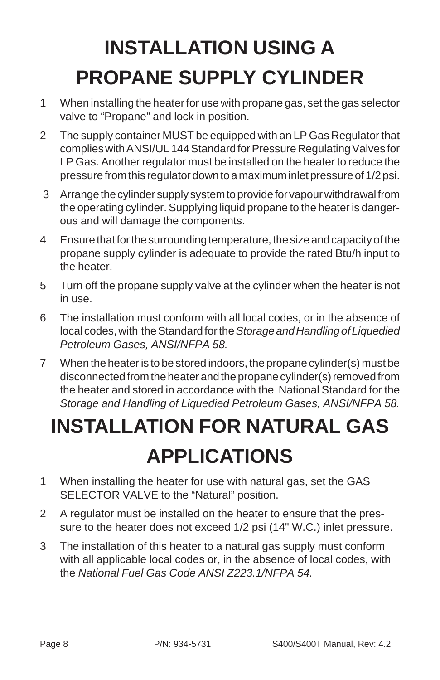### **INSTALLATION USING A PROPANE SUPPLY CYLINDER**

- 1 When installing the heater for use with propane gas, set the gas selector valve to "Propane" and lock in position.
- 2 The supply container MUST be equipped with an LP Gas Regulator that complies with ANSI/UL 144 Standard for Pressure Regulating Valves for LP Gas. Another regulator must be installed on the heater to reduce the pressure from this regulator down to a maximum inlet pressure of 1/2 psi.
- 3 Arrange the cylinder supply system to provide for vapour withdrawal from the operating cylinder. Supplying liquid propane to the heater is dangerous and will damage the components.
- 4 Ensure that for the surrounding temperature, the size and capacity of the propane supply cylinder is adequate to provide the rated Btu/h input to the heater.
- 5 Turn off the propane supply valve at the cylinder when the heater is not in use.
- 6 The installation must conform with all local codes, or in the absence of local codes, with the Standard for the *Storage and Handling of Liquedied Petroleum Gases, ANSI/NFPA 58.*
- 7 When the heater is to be stored indoors, the propane cylinder(s) must be disconnected from the heater and the propane cylinder(s) removed from the heater and stored in accordance with the National Standard for the *Storage and Handling of Liquedied Petroleum Gases, ANSI/NFPA 58.*

### **INSTALLATION FOR NATURAL GAS APPLICATIONS**

- 1 When installing the heater for use with natural gas, set the GAS SELECTOR VALVE to the "Natural" position.
- 2 A regulator must be installed on the heater to ensure that the pressure to the heater does not exceed 1/2 psi (14" W.C.) inlet pressure.
- 3 The installation of this heater to a natural gas supply must conform with all applicable local codes or, in the absence of local codes, with the *National Fuel Gas Code ANSI Z223.1/NFPA 54.*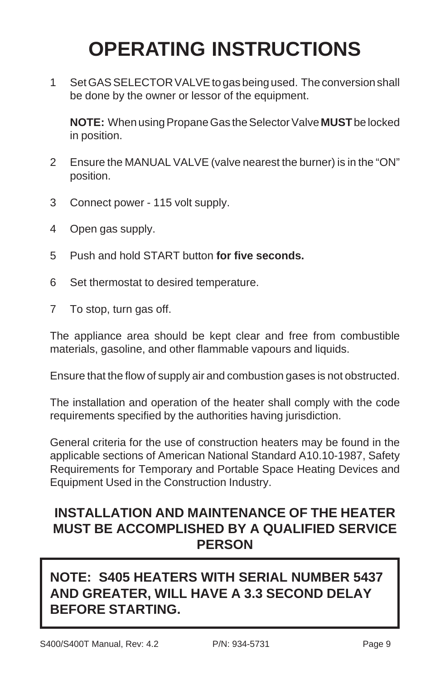#### **OPERATING INSTRUCTIONS**

1 Set GAS SELECTOR VALVE to gas being used. The conversion shall be done by the owner or lessor of the equipment.

**NOTE:** When using Propane Gas the Selector Valve **MUST** be locked in position.

- 2 Ensure the MANUAL VALVE (valve nearest the burner) is in the "ON" position.
- 3 Connect power 115 volt supply.
- 4 Open gas supply.
- 5 Push and hold START button **for five seconds.**
- 6 Set thermostat to desired temperature.
- 7 To stop, turn gas off.

The appliance area should be kept clear and free from combustible materials, gasoline, and other flammable vapours and liquids.

Ensure that the flow of supply air and combustion gases is not obstructed.

The installation and operation of the heater shall comply with the code requirements specified by the authorities having jurisdiction.

General criteria for the use of construction heaters may be found in the applicable sections of American National Standard A10.10-1987, Safety Requirements for Temporary and Portable Space Heating Devices and Equipment Used in the Construction Industry.

#### **INSTALLATION AND MAINTENANCE OF THE HEATER MUST BE ACCOMPLISHED BY A QUALIFIED SERVICE PERSON**

#### **NOTE: S405 HEATERS WITH SERIAL NUMBER 5437 AND GREATER, WILL HAVE A 3.3 SECOND DELAY BEFORE STARTING.**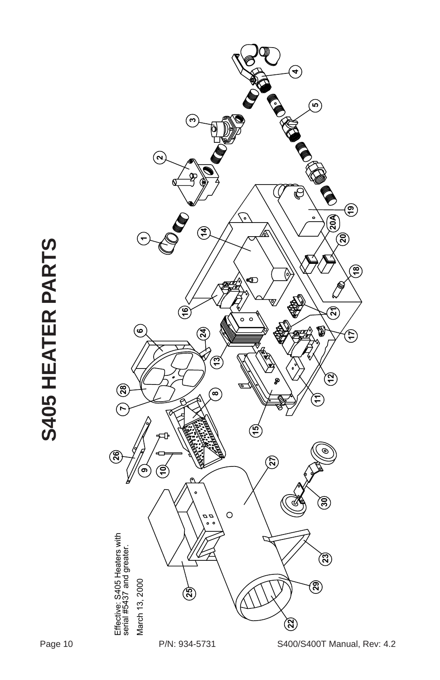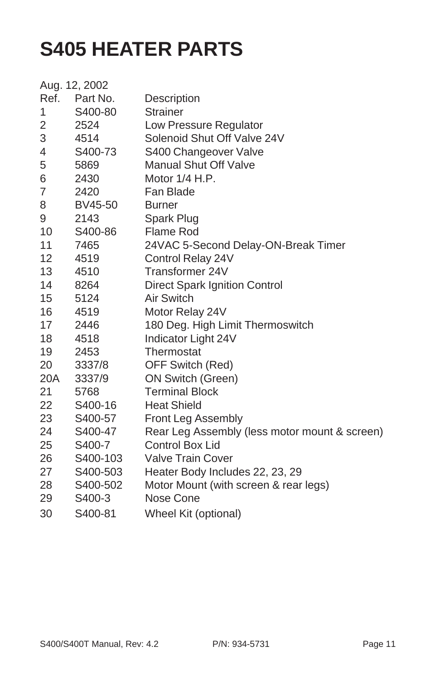#### **S405 HEATER PARTS**

|                | Aug. 12, 2002 |                                               |
|----------------|---------------|-----------------------------------------------|
|                | Ref. Part No. | Description                                   |
| 1              | S400-80       | <b>Strainer</b>                               |
| 2              | 2524          | Low Pressure Regulator                        |
| 3              | 4514          | Solenoid Shut Off Valve 24V                   |
| 4              | S400-73       | S400 Changeover Valve                         |
| 5              | 5869          | <b>Manual Shut Off Valve</b>                  |
| 6              | 2430          | Motor 1/4 H.P.                                |
| $\overline{7}$ | 2420          | Fan Blade                                     |
| 8              | BV45-50       | <b>Burner</b>                                 |
| 9              | 2143          | Spark Plug                                    |
| 10             | S400-86       | Flame Rod                                     |
| 11             | 7465          | 24VAC 5-Second Delay-ON-Break Timer           |
| 12             | 4519          | Control Relay 24V                             |
| 13             | 4510          | Transformer 24V                               |
| 14             | 8264          | <b>Direct Spark Ignition Control</b>          |
| 15             | 5124          | Air Switch                                    |
| 16             | 4519          | Motor Relay 24V                               |
| 17             | 2446          | 180 Deg. High Limit Thermoswitch              |
| 18             | 4518          | Indicator Light 24V                           |
| 19             | 2453          | Thermostat                                    |
| 20             | 3337/8        | OFF Switch (Red)                              |
| 20A            | 3337/9        | ON Switch (Green)                             |
| 21             | 5768          | <b>Terminal Block</b>                         |
| 22             | S400-16       | <b>Heat Shield</b>                            |
| 23             | S400-57       | Front Leg Assembly                            |
| 24             | S400-47       | Rear Leg Assembly (less motor mount & screen) |
| 25             | S400-7        | <b>Control Box Lid</b>                        |
| 26             | S400-103      | <b>Valve Train Cover</b>                      |
| 27             | S400-503      | Heater Body Includes 22, 23, 29               |
| 28             | S400-502      | Motor Mount (with screen & rear legs)         |
| 29             | S400-3        | Nose Cone                                     |
| 30             | S400-81       | Wheel Kit (optional)                          |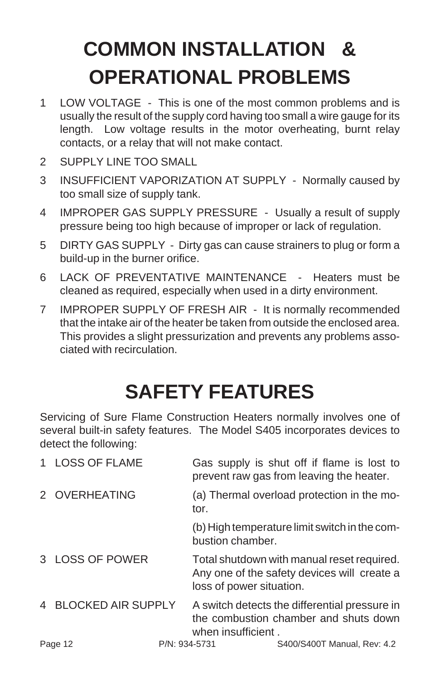### **COMMON INSTALLATION & OPERATIONAL PROBLEMS**

- 1 LOW VOLTAGE This is one of the most common problems and is usually the result of the supply cord having too small a wire gauge for its length. Low voltage results in the motor overheating, burnt relay contacts, or a relay that will not make contact.
- 2 SUPPLY LINE TOO SMALL
- 3 INSUFFICIENT VAPORIZATION AT SUPPLY Normally caused by too small size of supply tank.
- 4 IMPROPER GAS SUPPLY PRESSURE Usually a result of supply pressure being too high because of improper or lack of regulation.
- 5 DIRTY GAS SUPPLY Dirty gas can cause strainers to plug or form a build-up in the burner orifice.
- 6 LACK OF PREVENTATIVE MAINTENANCE Heaters must be cleaned as required, especially when used in a dirty environment.
- 7 IMPROPER SUPPLY OF FRESH AIR It is normally recommended that the intake air of the heater be taken from outside the enclosed area. This provides a slight pressurization and prevents any problems associated with recirculation.

#### **SAFETY FEATURES**

Servicing of Sure Flame Construction Heaters normally involves one of several built-in safety features. The Model S405 incorporates devices to detect the following:

| 1 LOSS OF FLAME      |               |                          | Gas supply is shut off if flame is lost to<br>prevent raw gas from leaving the heater.    |
|----------------------|---------------|--------------------------|-------------------------------------------------------------------------------------------|
| 2 OVERHEATING        |               | tor.                     | (a) Thermal overload protection in the mo-                                                |
|                      |               | bustion chamber.         | (b) High temperature limit switch in the com-                                             |
| 3 LOSS OF POWER      |               | loss of power situation. | Total shutdown with manual reset required.<br>Any one of the safety devices will create a |
| 4 BLOCKED AIR SUPPLY |               | when insufficient.       | A switch detects the differential pressure in<br>the combustion chamber and shuts down    |
| Page 12              | P/N: 934-5731 |                          | S400/S400T Manual, Rev: 4.2                                                               |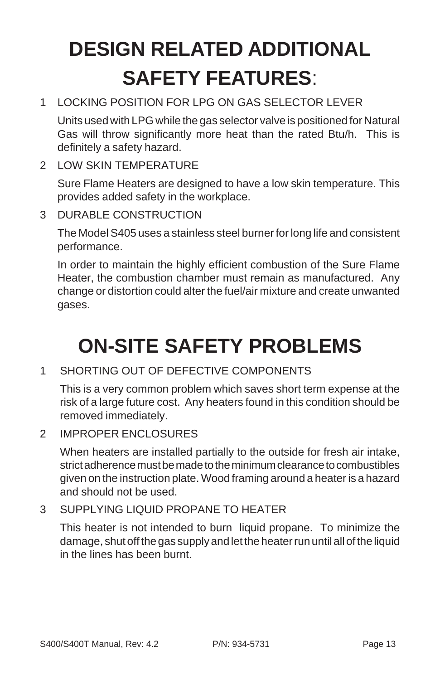### **DESIGN RELATED ADDITIONAL SAFETY FEATURES**:

1 LOCKING POSITION FOR LPG ON GAS SELECTOR LEVER

Units used with LPG while the gas selector valve is positioned for Natural Gas will throw significantly more heat than the rated Btu/h. This is definitely a safety hazard.

2 LOW SKIN TEMPERATURE

Sure Flame Heaters are designed to have a low skin temperature. This provides added safety in the workplace.

3 DURABLE CONSTRUCTION

The Model S405 uses a stainless steel burner for long life and consistent performance.

In order to maintain the highly efficient combustion of the Sure Flame Heater, the combustion chamber must remain as manufactured. Any change or distortion could alter the fuel/air mixture and create unwanted gases.

#### **ON-SITE SAFETY PROBLEMS**

1 SHORTING OUT OF DEFECTIVE COMPONENTS

This is a very common problem which saves short term expense at the risk of a large future cost. Any heaters found in this condition should be removed immediately.

2 IMPROPER ENCLOSURES

When heaters are installed partially to the outside for fresh air intake, strict adherence must be made to the minimum clearance to combustibles given on the instruction plate. Wood framing around a heater is a hazard and should not be used.

3 SUPPLYING LIQUID PROPANE TO HEATER

This heater is not intended to burn liquid propane. To minimize the damage, shut off the gas supply and let the heater run until all of the liquid in the lines has been burnt.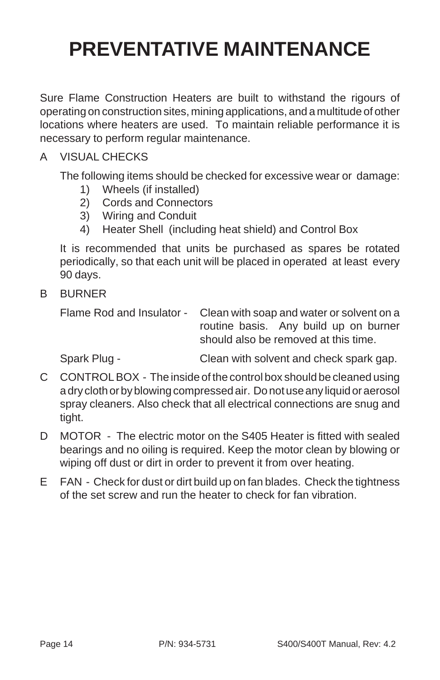#### **PREVENTATIVE MAINTENANCE**

Sure Flame Construction Heaters are built to withstand the rigours of operating on construction sites, mining applications, and a multitude of other locations where heaters are used. To maintain reliable performance it is necessary to perform regular maintenance.

#### A VISUAL CHECKS

The following items should be checked for excessive wear or damage:

- 1) Wheels (if installed)
- 2) Cords and Connectors
- 3) Wiring and Conduit
- 4) Heater Shell (including heat shield) and Control Box

It is recommended that units be purchased as spares be rotated periodically, so that each unit will be placed in operated at least every 90 days.

B BURNER

Flame Rod and Insulator - Clean with soap and water or solvent on a routine basis. Any build up on burner should also be removed at this time.

Spark Plug - Clean with solvent and check spark gap.

- C CONTROL BOX The inside of the control box should be cleaned using a dry cloth or by blowing compressed air. Do not use any liquid or aerosol spray cleaners. Also check that all electrical connections are snug and tight.
- D MOTOR The electric motor on the S405 Heater is fitted with sealed bearings and no oiling is required. Keep the motor clean by blowing or wiping off dust or dirt in order to prevent it from over heating.
- E FAN Check for dust or dirt build up on fan blades. Check the tightness of the set screw and run the heater to check for fan vibration.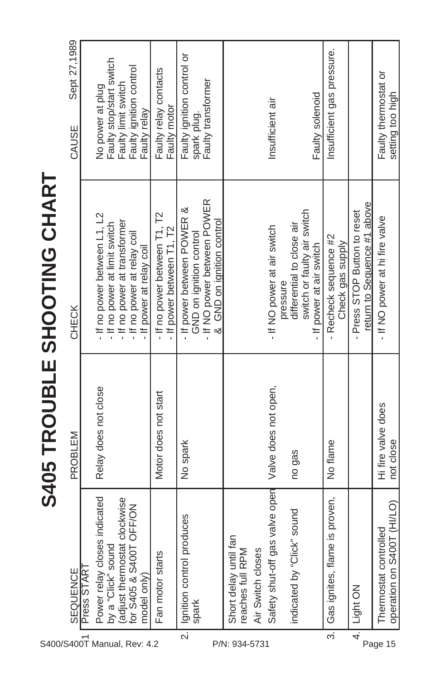| S400/S400T Manual, Rev: 4.2 |                                                                                           |                                 | <b>S405 TROUBLE SHOOTING CHART</b>                          |                                          |
|-----------------------------|-------------------------------------------------------------------------------------------|---------------------------------|-------------------------------------------------------------|------------------------------------------|
|                             | SEQUENCE                                                                                  | PROBLEM                         | CHECK                                                       | Sept 27,1989<br>CAUSE                    |
|                             | Press STAR <sup>-</sup>                                                                   |                                 |                                                             |                                          |
|                             | indicated<br>Power relay closes                                                           | Relay does not close            | - If no power between L1, L2                                | No power at plug                         |
|                             |                                                                                           |                                 | - If no power at limit switch                               | Faulty stop/start switch                 |
|                             | clockwise<br>by a "Click" sound<br>(adjust thermostat clockwis<br>for S405 & S400T OFF/ON |                                 | - If no power at transformer                                | Faulty limit switch                      |
|                             |                                                                                           |                                 | - If no power at relay coil                                 | Faulty ignition control                  |
|                             | model only)                                                                               |                                 | - If power at relay coil                                    | Faulty relay                             |
|                             | Fan motor starts                                                                          | Motor does not start            | - If no power between T1, T2<br>- If power between T1, T2   | Faulty relay contacts<br>Faulty motor    |
| $\overline{\mathbf{a}}$     | Ignition control produces                                                                 | No spark                        | - If power between POWER &                                  | Faulty ignition control or               |
|                             | spark                                                                                     |                                 | GND on ignition control                                     | spark plug.                              |
|                             |                                                                                           |                                 | - If NO power between POWER<br>& GND on ignition control    | Faulty transformer                       |
|                             | Short delay until far                                                                     |                                 |                                                             |                                          |
|                             | reaches full RPM                                                                          |                                 |                                                             |                                          |
| P/N: 934-5731               | Air Switch closes                                                                         |                                 |                                                             |                                          |
|                             | Safety shut-off gas                                                                       | valve open Valve does not open, | - If NO power at air switch                                 | Insufficient air                         |
|                             |                                                                                           |                                 | pressure                                                    |                                          |
|                             | sound<br>indicated by "Click"                                                             | no gas                          | differential to close air                                   |                                          |
|                             |                                                                                           |                                 | switch or faulty air switch                                 |                                          |
|                             |                                                                                           |                                 | - If power at air switch                                    | Faulty solenoid                          |
| $\overline{\varepsilon}$    | s proven,<br>Gas ignites, flame i                                                         | No flame                        | - Recheck sequence #2<br>Check gas supply                   | Insufficient gas pressure.               |
| $\frac{4}{1}$               | Light ON                                                                                  |                                 | return to Sequence #1 above<br>- Press STOP Button to reset |                                          |
| Page 15                     | operation on S400T (HI/LO)<br>δ9<br>Thermostat control                                    | Hi fire valve does<br>not close | If NO power at hi fire valve                                | Faulty thermostat or<br>setting too high |
|                             |                                                                                           |                                 |                                                             |                                          |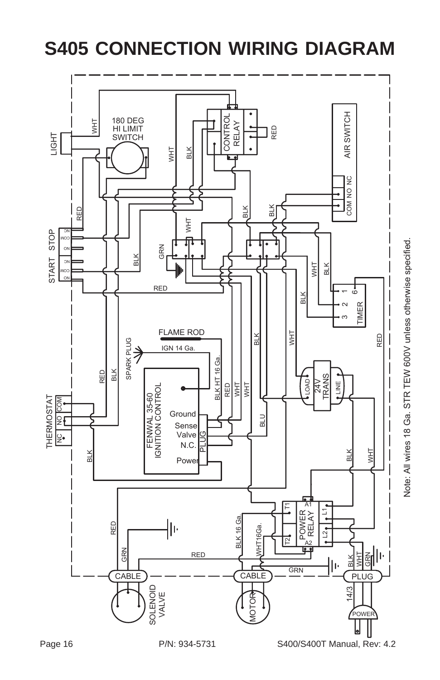

#### **S405 CONNECTION WIRING DIAGRAM**

Note: All wires 18 Ga. STR TEW 600V unless otherwise specified. Note: All wires 18 Ga. STR TEW 600V unless otherwise specified.